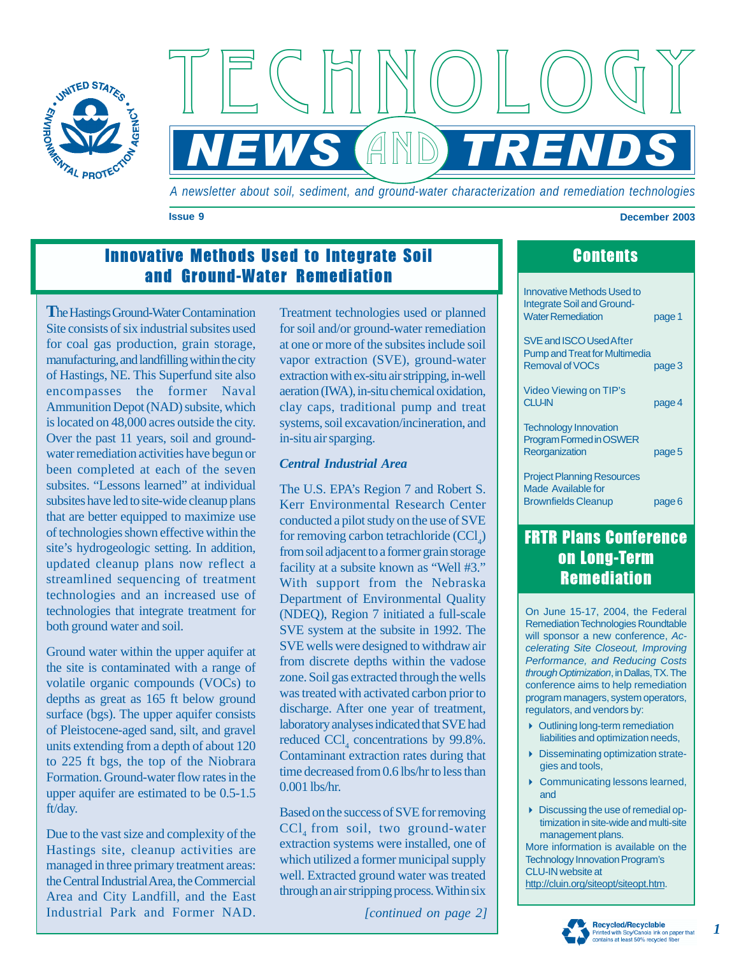

TECHNOLOGY NEWS (AND) TRENDS

*A newsletter about soil, sediment, and ground-water characterization and remediation technologies* 

**Issue 9 December 2003** 

# Innovative Methods Used to Integrate Soil **Contents** and Ground-Water Remediation

**T** he Hastings Ground-Water Contamination Site consists of six industrial subsites used for coal gas production, grain storage, manufacturing, and landfilling within the city of Hastings, NE. This Superfund site also encompasses the former Naval Ammunition Depot (NAD) subsite, which water remediation activities have begun or been completed at each of the seven subsites. "Lessons learned" at individual subsites have led to site-wide cleanup plans that are better equipped to maximize use of technologies shown effective within the updated cleanup plans now reflect a streamlined sequencing of treatment technologies and an increased use of technologies that integrate treatment for both ground water and soil. is located on 48,000 acres outside the city. Over the past 11 years, soil and groundsite's hydrogeologic setting. In addition,

Ground water within the upper aquifer at the site is contaminated with a range of volatile organic compounds (VOCs) to depths as great as 165 ft below ground surface (bgs). The upper aquifer consists of Pleistocene-aged sand, silt, and gravel units extending from a depth of about 120 to 225 ft bgs, the top of the Niobrara Formation. Ground-water flow rates in the upper aquifer are estimated to be 0.5-1.5 ft/day.

Due to the vast size and complexity of the Hastings site, cleanup activities are managed in three primary treatment areas: Area and City Landfill, and the East Industrial Park and Former NAD. the Central Industrial Area, the Commercial for soil and/or ground-water remediation at one or more of the subsites include soil vapor extraction (SVE), ground-water extraction with ex-situ air stripping, in-well clay caps, traditional pump and treat systems, soil excavation/incineration, and in-situ air sparging. Treatment technologies used or planned aeration (IWA), in-situ chemical oxidation,

#### *Central Industrial Area*

Kerr Environmental Research Center conducted a pilot study on the use of SVE for removing carbon tetrachloride  $(CCl<sub>4</sub>)$ from soil adjacent to a former grain storage Department of Environmental Quality (NDEQ), Region 7 initiated a full-scale SVE system at the subsite in 1992. The SVE wells were designed to withdraw air from discrete depths within the vadose zone. Soil gas extracted through the wells was treated with activated carbon prior to laboratory analyses indicated that SVE had reduced  $\text{CCI}_4$  concentrations by 99.8%. Contaminant extraction rates during that time decreased from 0.6 lbs/hr to less than The U.S. EPA's Region 7 and Robert S. facility at a subsite known as "Well #3." With support from the Nebraska discharge. After one year of treatment, 0.001 lbs/hr.

Based on the success of SVE for removing  $\text{CCl}_4$  from soil, two ground-water extraction systems were installed, one of which utilized a former municipal supply well. Extracted ground water was treated through an air stripping process. Within six

*[continued on page 2]* 

| <b>Innovative Methods Used to</b><br><b>Integrate Soil and Ground-</b><br><b>Water Remediation</b> | page 1 |
|----------------------------------------------------------------------------------------------------|--------|
| SVE and ISCO Used After<br><b>Pump and Treat for Multimedia</b><br><b>Removal of VOCs</b>          | page 3 |
| Video Viewing on TIP's<br><b>CLU-IN</b>                                                            | page 4 |
| <b>Technology Innovation</b><br><b>Program Formed in OSWER</b><br>Reorganization                   | page 5 |
| <b>Project Planning Resources</b><br>Made Available for<br><b>Brownfields Cleanup</b>              | page 6 |

## FRTR Plans Conference **Remediation** on Long-Term

On June 15-17, 2004, the Federal will sponsor a new conference, *Accelerating Site Closeout, Improving Performance, and Reducing Costs through Optimization*, in Dallas, TX. The conference aims to help remediation program managers, system operators, regulators, and vendors by: Remediation Technologies Roundtable

- Outlining long-term remediation liabilities and optimization needs,
- Disseminating optimization strategies and tools,
- ▶ Communicating lessons learned, and
- Discussing the use of remedial optimization in site-wide and multi-site management plans.

More information is available on the CLU-IN website at [http://cluin.org/siteopt/siteopt.htm.](http://cluin.org/siteopt/siteopt.htm) Technology Innovation Program's



*1*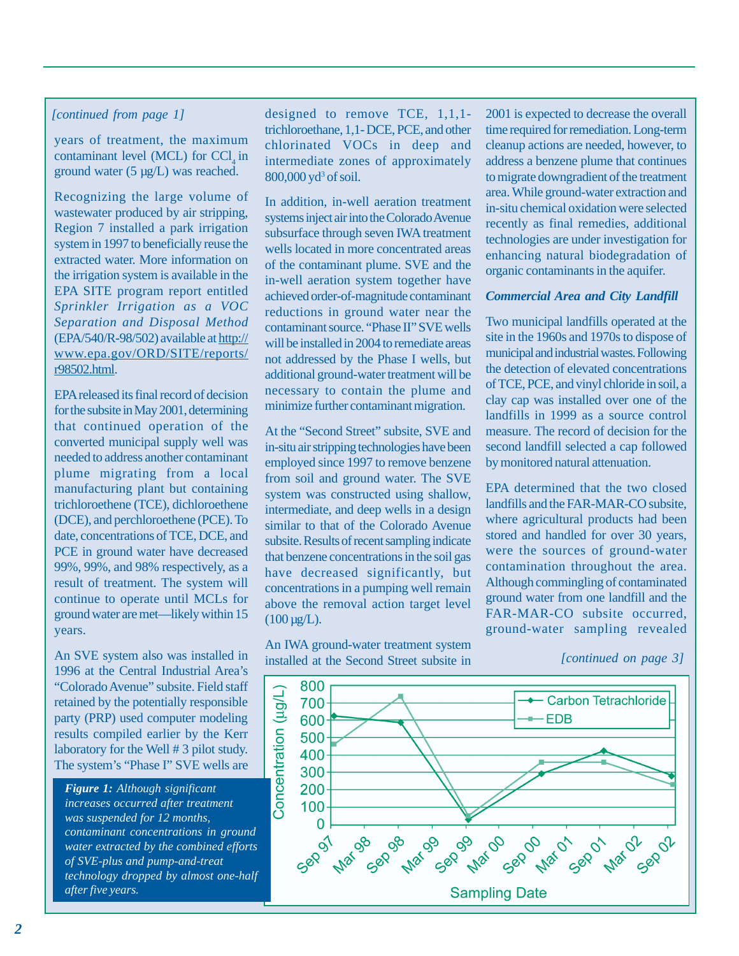#### *[continued from page 1]*

years of treatment, the maximum contaminant level (MCL) for CCl in ground water (5 µg/L) was reached.

Recognizing the large volume of wastewater produced by air stripping, Region 7 installed a park irrigation system in 1997 to beneficially reuse the the irrigation system is available in the *Sprinkler Irrigation as a VOC Separation and Disposal Method*  (EPA/540/R-98/502) available at http:// [www.epa.gov/ORD/SITE/reports/](http://www.epa.gov/ORD/SITE/reports/) r98502.html. extracted water. More information on EPA SITE program report entitled

for the subsite in May 2001, determining that continued operation of the converted municipal supply well was needed to address another contaminant plume migrating from a local manufacturing plant but containing trichloroethene (TCE), dichloroethene date, concentrations of TCE, DCE, and PCE in ground water have decreased result of treatment. The system will continue to operate until MCLs for ground water are met—likely within 15 years. EPA released its final record of decision (DCE), and perchloroethene (PCE). To 99%, 99%, and 98% respectively, as a

An SVE system also was installed in retained by the potentially responsible party (PRP) used computer modeling results compiled earlier by the Kerr 1996 at the Central Industrial Area's "Colorado Avenue" subsite. Field staff laboratory for the Well # 3 pilot study. The system's "Phase I" SVE wells are

*Figure 1: Although significant increases occurred after treatment was suspended for 12 months, contaminant concentrations in ground water extracted by the combined efforts of SVE-plus and pump-and-treat technology dropped by almost one-half after five years.* 

designed to remove TCE, 1,1,1 trichloroethane, 1,1- DCE, PCE, and other chlorinated VOCs in deep and intermediate zones of approximately 800,000 yd<sup>3</sup> of soil.

In addition, in-well aeration treatment wells located in more concentrated areas of the contaminant plume. SVE and the in-well aeration system together have achieved order-of-magnitude contaminant reductions in ground water near the contaminant source. "Phase II" SVE wells will be installed in 2004 to remediate areas not addressed by the Phase I wells, but additional ground-water treatment will be necessary to contain the plume and minimize further contaminant migration. systems inject air into the Colorado Avenue subsurface through seven IWA treatment

At the "Second Street" subsite, SVE and in-situ air stripping technologies have been employed since 1997 to remove benzene intermediate, and deep wells in a design subsite. Results of recent sampling indicate that benzene concentrations in the soil gas concentrations in a pumping well remain above the removal action target level  $(100 \,\mu g/L)$ . from soil and ground water. The SVE system was constructed using shallow, similar to that of the Colorado Avenue have decreased significantly, but

installed at the Second Street subsite in An IWA ground-water treatment system 2001 is expected to decrease the overall time required for remediation. Long-term address a benzene plume that continues to migrate downgradient of the treatment area. While ground-water extraction and in-situ chemical oxidation were selected recently as final remedies, additional technologies are under investigation for enhancing natural biodegradation of cleanup actions are needed, however, to organic contaminants in the aquifer.

#### *Commercial Area and City Landfill*

site in the 1960s and 1970s to dispose of municipal and industrial wastes. Following the detection of elevated concentrations of TCE, PCE, and vinyl chloride in soil, a clay cap was installed over one of the landfills in 1999 as a source control measure. The record of decision for the second landfill selected a cap followed by monitored natural attenuation. Two municipal landfills operated at the

where agricultural products had been stored and handled for over 30 years, were the sources of ground-water contamination throughout the area. Although commingling of contaminated ground water from one landfill and the ground-water sampling revealed EPA determined that the two closed landfills and the FAR-MAR-CO subsite, FAR-MAR-CO subsite occurred,

*[continued on page 3]* 

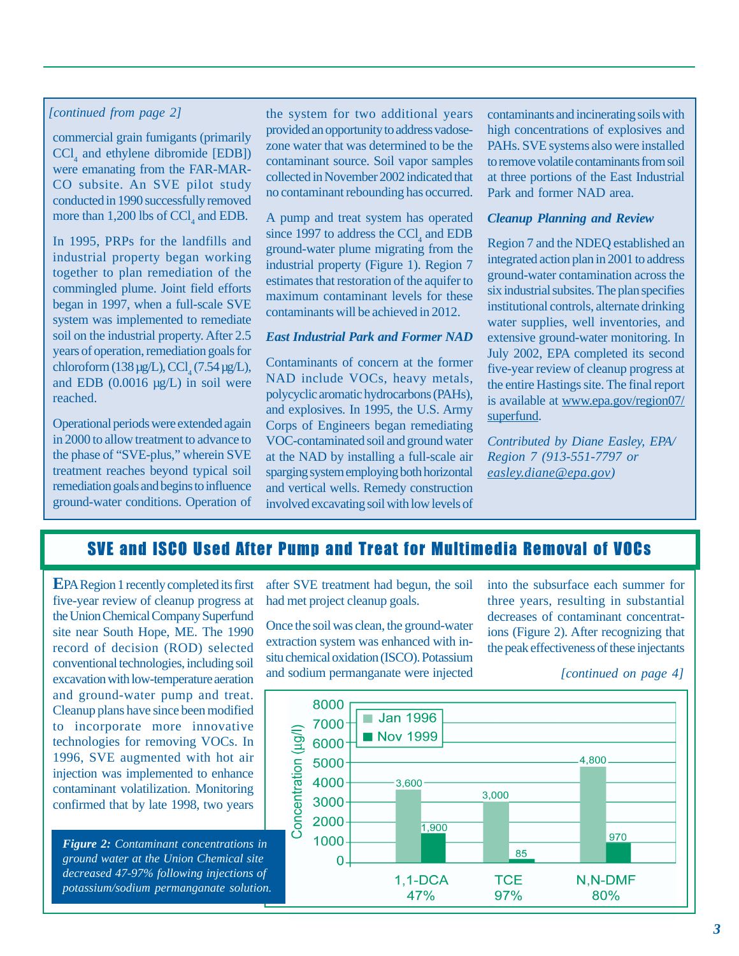#### *[continued from page 2]*

commercial grain fumigants (primarily  $\text{CCl}_4$  and ethylene dibromide [EDB]) conducted in 1990 successfully removed more than 1,200 lbs of  $CCl_4$  and EDB. were emanating from the FAR-MAR-CO subsite. An SVE pilot study

In 1995, PRPs for the landfills and industrial property began working together to plan remediation of the commingled plume. Joint field efforts began in 1997, when a full-scale SVE system was implemented to remediate years of operation, remediation goals for and EDB  $(0.0016 \text{ µg/L})$  in soil were reached. soil on the industrial property. After 2.5 chloroform (138 µg/L), CCl (7.54 µg/L),

Operational periods were extended again in 2000 to allow treatment to advance to the phase of "SVE-plus," wherein SVE treatment reaches beyond typical soil remediation goals and begins to influence ground-water conditions. Operation of the system for two additional years provided an opportunity to address vadosezone water that was determined to be the contaminant source. Soil vapor samples collected in November 2002 indicated that no contaminant rebounding has occurred.

A pump and treat system has operated since 1997 to address the  $\text{CCI}_4$  and EDB ground-water plume migrating from the industrial property (Figure 1). Region 7 estimates that restoration of the aquifer to maximum contaminant levels for these contaminants will be achieved in 2012.

#### *East Industrial Park and Former NAD*

Contaminants of concern at the former NAD include VOCs, heavy metals, Corps of Engineers began remediating VOC-contaminated soil and ground water at the NAD by installing a full-scale air sparging system employing both horizontal and vertical wells. Remedy construction involved excavating soil with low levels of polycyclic aromatic hydrocarbons (PAHs), and explosives. In 1995, the U.S. Army contaminants and incinerating soils with high concentrations of explosives and to remove volatile contaminants from soil at three portions of the East Industrial Park and former NAD area. PAHs. SVE systems also were installed

#### *Cleanup Planning and Review*

Region 7 and the NDEQ established an integrated action plan in 2001 to address ground-water contamination across the six industrial subsites. The plan specifies institutional controls, alternate drinking water supplies, well inventories, and extensive ground-water monitoring. In five-year review of cleanup progress at the entire Hastings site. The final report is available at www.epa.gov/region07/ superfund. July 2002, EPA completed its second

*Region 7 (913-551-7797 or easley .diane@epa.gov) Contributed by Diane Easley, EPA/* 

# SVE and ISCO Used After Pump and Treat for Multimedia Removal of VOCs

**E** PA Region 1 recently completed its first five-year review of cleanup progress at the Union Chemical Company Superfund site near South Hope, ME. The 1990 record of decision (ROD) selected conventional technologies, including soil excavation with low-temperature aeration and ground-water pump and treat. Cleanup plans have since been modified to incorporate more innovative technologies for removing VOCs. In 1996, SVE augmented with hot air injection was implemented to enhance contaminant volatilization. Monitoring confirmed that by late 1998, two years

*Figure 2: Contaminant concentrations in ground water at the Union Chemical site decreased 47-97% following injections of potassium/sodium permanganate solution.* 

after SVE treatment had begun, the soil had met project cleanup goals.

Once the soil was clean, the ground-water extraction system was enhanced with insitu chemical oxidation (ISCO). Potassium and sodium permanganate were injected into the subsurface each summer for three years, resulting in substantial decreases of contaminant concentratthe peak effectiveness of these injectants ions (Figure 2). After recognizing that

*[continued on page 4]* 

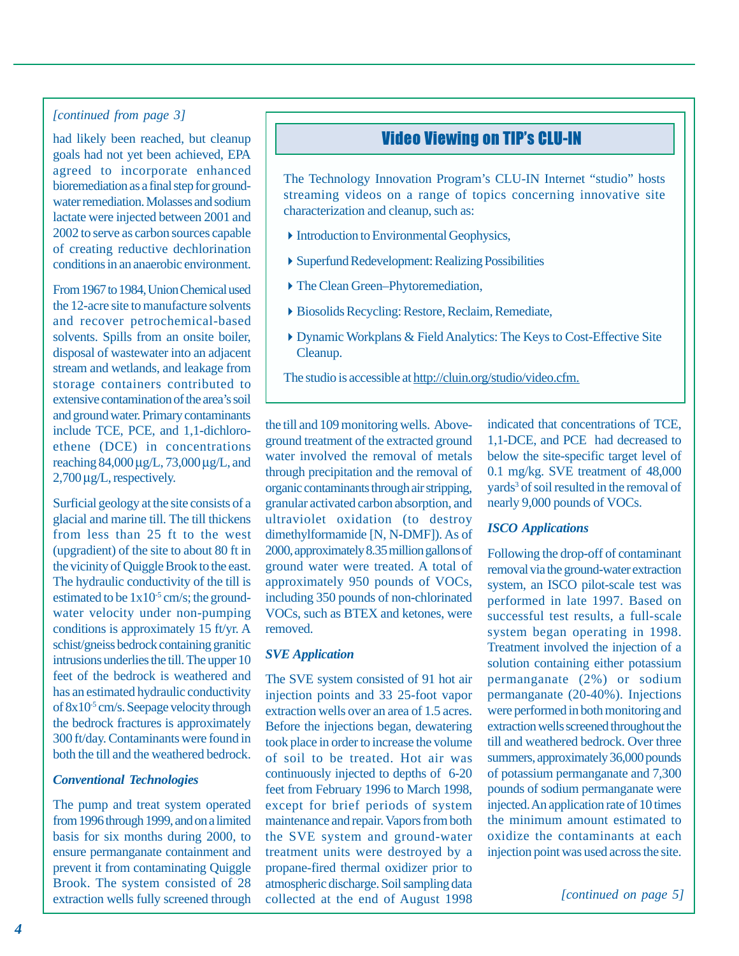#### *[continued from page 3]*

had likely been reached, but cleanup agreed to incorporate enhanced bioremediation as a final step for groundwater remediation. Molasses and sodium lactate were injected between 2001 and 2002 to serve as carbon sources capable of creating reductive dechlorination conditions in an anaerobic environment. goals had not yet been achieved, EPA

From 1967 to 1984, Union Chemical used the 12-acre site to manufacture solvents and recover petrochemical-based disposal of wastewater into an adjacent stream and wetlands, and leakage from storage containers contributed to include TCE, PCE, and 1,1-dichloroethene (DCE) in concentrations reaching 84,000 µg/L, 73,000 µg/L, and 2,700 µ g/L, respectively. solvents. Spills from an onsite boiler, extensive contamination of the area's soil and ground water. Primary contaminants

Surficial geology at the site consists of a glacial and marine till. The till thickens from less than 25 ft to the west (upgradient) of the site to about 80 ft in the vicinity of Quiggle Brook to the east. The hydraulic conductivity of the till is estimated to be  $1x10^{-5}$  cm/s; the groundwater velocity under non-pumping schist/gneiss bedrock containing granitic intrusions underlies the till. The upper 10 feet of the bedrock is weathered and has an estimated hydraulic conductivity of 8x10-5 cm/s. Seepage velocity through the bedrock fractures is approximately both the till and the weathered bedrock. conditions is approximately 15 ft/yr. A 300 ft/day. Contaminants were found in

#### *Conventional Technologies*

The pump and treat system operated from 1996 through 1999, and on a limited basis for six months during 2000, to ensure permanganate containment and prevent it from contaminating Quiggle Brook. The system consisted of 28 extraction wells fully screened through

## Video Viewing on TIP's CLU-IN

streaming videos on a range of topics concerning innovative site characterization and cleanup, such as: The Technology Innovation Program's CLU-IN Internet "studio" hosts

- $\blacktriangleright$  Introduction to Environmental Geophysics,
- �Superfund Redevelopment: Realizing Possibilities
- ▶ The Clean Green–Phytoremediation,
- �Biosolids Recycling: Restore, Reclaim, Remediate,
- � Dynamic Workplans & Field Analytics: The Keys to Cost-Effective Site Cleanup.
- The studio is accessible at [http://cluin.org/studio/video.cfm.](http://cluin.org/studio/video.cfm)

the till and 109 monitoring wells. Aboveground treatment of the extracted ground water involved the removal of metals through precipitation and the removal of organic contaminants through air stripping, granular activated carbon absorption, and ultraviolet oxidation (to destroy 2000, approximately 8.35 million gallons of approximately 950 pounds of VOCs, including 350 pounds of non-chlorinated VOCs, such as BTEX and ketones, were removed. dimethylformamide [N, N-DMF]). As of ground water were treated. A total of

#### *SVE Application*

The SVE system consisted of 91 hot air injection points and 33 25-foot vapor extraction wells over an area of 1.5 acres. Before the injections began, dewatering took place in order to increase the volume of soil to be treated. Hot air was continuously injected to depths of 6-20 feet from February 1996 to March 1998, except for brief periods of system the SVE system and ground-water treatment units were destroyed by a propane-fired thermal oxidizer prior to atmospheric discharge. Soil sampling data maintenance and repair. Vapors from both collected at the end of August 1998 indicated that concentrations of TCE, 1,1-DCE, and PCE had decreased to below the site-specific target level of 0.1 mg/kg. SVE treatment of 48,000 yards<sup>3</sup> of soil resulted in the removal of nearly 9,000 pounds of VOCs.

#### *ISCO Applications*

Following the drop-off of contaminant removal via the ground-water extraction system, an ISCO pilot-scale test was performed in late 1997. Based on successful test results, a full-scale system began operating in 1998. solution containing either potassium permanganate (2%) or sodium permanganate (20-40%). Injections were performed in both monitoring and extraction wells screened throughout the till and weathered bedrock. Over three summers, approximately 36,000 pounds of potassium permanganate and 7,300 pounds of sodium permanganate were the minimum amount estimated to oxidize the contaminants at each injection point was used across the site. Treatment involved the injection of a injected. An application rate of 10 times

*[continued on page 5]*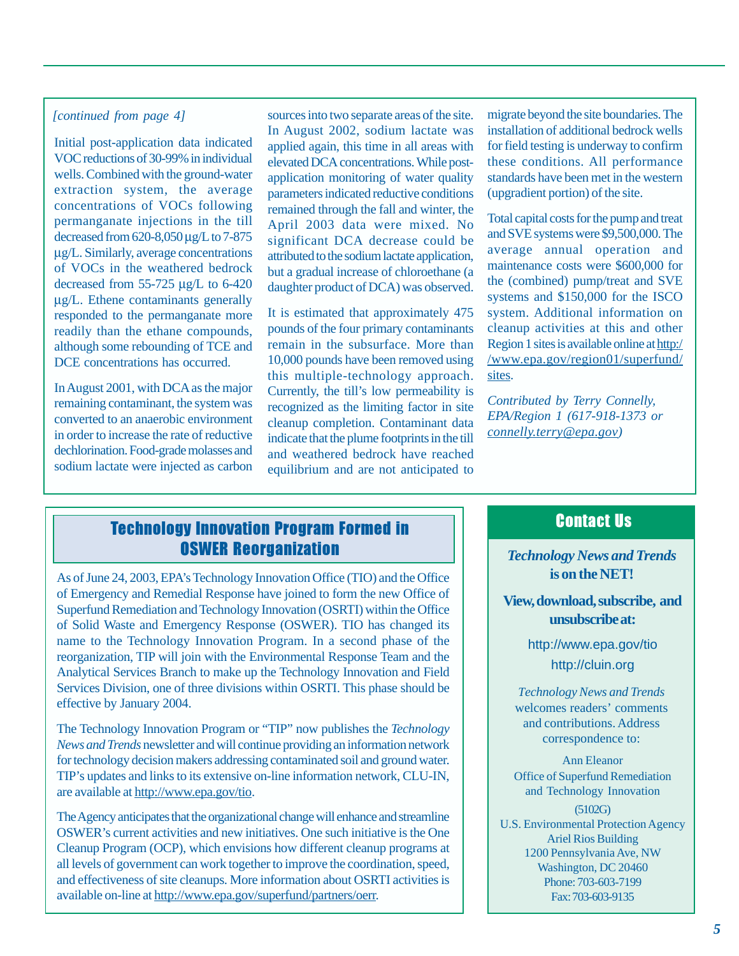### *[continued from page 4]*

Initial post-application data indicated VOC reductions of 30-99% in individual wells. Combined with the ground-water extraction system, the average concentrations of VOCs following permanganate injections in the till decreased from 620-8,050 µg/L to 7-875 µ g/L. Similarly, average concentrations of VOCs in the weathered bedrock decreased from 55-725 µg/L to 6-420 µg/L. Ethene contaminants generally responded to the permanganate more readily than the ethane compounds, although some rebounding of TCE and DCE concentrations has occurred.

remaining contaminant, the system was converted to an anaerobic environment in order to increase the rate of reductive dechlorination. Food-grade molasses and sodium lactate were injected as carbon In August 2001, with DCA as the major

sources into two separate areas of the site. applied again, this time in all areas with elevated DCA concentrations. While postapplication monitoring of water quality parameters indicated reductive conditions April 2003 data were mixed. No significant DCA decrease could be attributed to the sodium lactate application, but a gradual increase of chloroethane (a daughter product of DCA) was observed. In August 2002, sodium lactate was remained through the fall and winter, the

It is estimated that approximately 475 pounds of the four primary contaminants remain in the subsurface. More than 10,000 pounds have been removed using this multiple-technology approach. recognized as the limiting factor in site cleanup completion. Contaminant data indicate that the plume footprints in the till and weathered bedrock have reached equilibrium and are not anticipated to Currently, the till's low permeability is

migrate beyond the site boundaries. The installation of additional bedrock wells for field testing is underway to confirm standards have been met in the western (upgradient portion) of the site. these conditions. All performance

and SVE systems were \$9,500,000. The average annual operation and maintenance costs were \$600,000 for the (combined) pump/treat and SVE systems and \$150,000 for the ISCO cleanup activities at this and other Region 1 sites is available online at http:/ /www.epa.gov/region01/superfund/ sites. Total capital costs for the pump and treat system. Additional information on

*connelly.terry@epa.gov) Contributed by Terry Connelly, EPA/Region 1 (617-918-1373 or* 

# OSWER Reorganization *Technology News and Trends*  Technology Innovation Program Formed in

of Emergency and Remedial Response have joined to form the new Office of effective by January 2004. As of June 24, 2003, EPA's Technology Innovation Office (TIO) and the Office Superfund Remediation and Technology Innovation (OSRTI) within the Office of Solid Waste and Emergency Response (OSWER). TIO has changed its name to the Technology Innovation Program. In a second phase of the reorganization, TIP will join with the Environmental Response Team and the Analytical Services Branch to make up the Technology Innovation and Field Services Division, one of three divisions within OSRTI. This phase should be

News and Trends newsletter and will continue providing an information network are available at [http:](http://www.epa.gov/tio)[//www.epa.g](http://wwwOSWER)[ov/tio.](http://www.epa.gov/tio) The Technology Innovation Program or "TIP" now publishes the *Technology*  for technology decision makers addressing contaminated soil and ground water. TIP's updates and links to its extensive on-line information network, CLU-IN,

Cleanup Program (OCP), which envisions how different cleanup programs at all levels of government can work together to improve the coordination, speed, available on-line at http://www.epa.gov/superfund/partners/oerr. The Agency anticipates that the organizational change will enhance and streamline OSWER's current activities and new initiatives. One such initiative is the One and effectiveness of site cleanups. More information about OSRTI activities is

## Contact Us

**is on the NET!** 

**and View, download, subscribe, unsubscribe at:** 

> <http://cluin.org> <http://www.epa.gov/tio>

*T echnology News and Trends*  welcomes readers' comments correspondence to: and contributions. Address

Ann Eleanor Office of Superfund Remediation and Technology Innovation

(5102G) Ariel Rios Building Phone: 703-603-7199 Fax: 703-603-9135 U.S. Environmental Protection Agency 1200 Pennsylvania Ave, NW Washington, DC 20460